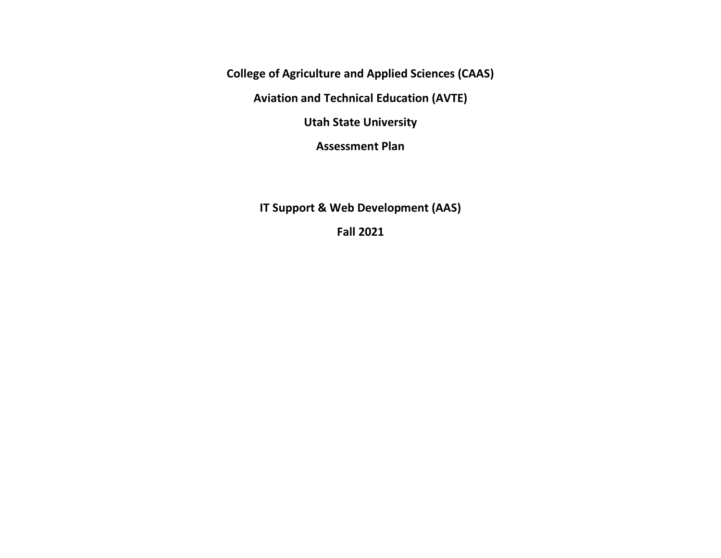**College of Agriculture and Applied Sciences (CAAS)**

**Aviation and Technical Education (AVTE)**

**Utah State University**

**Assessment Plan**

**IT Support & Web Development (AAS)**

**Fall 2021**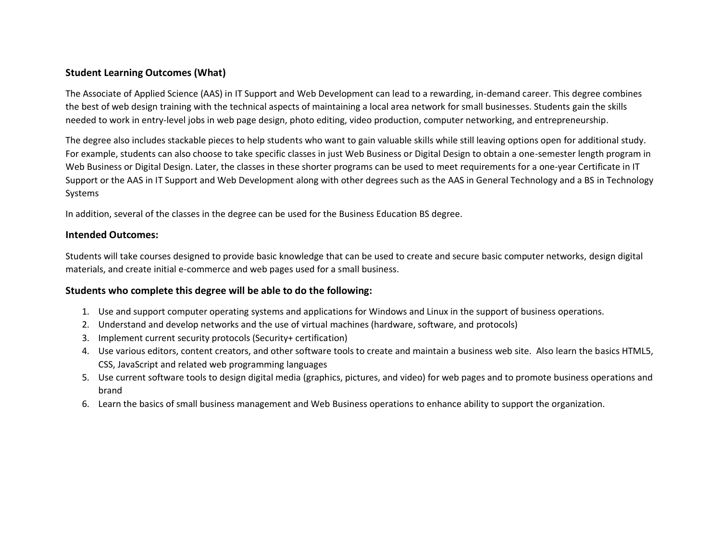#### **Student Learning Outcomes (What)**

The Associate of Applied Science (AAS) in IT Support and Web Development can lead to a rewarding, in-demand career. This degree combines the best of web design training with the technical aspects of maintaining a local area network for small businesses. Students gain the skills needed to work in entry-level jobs in web page design, photo editing, video production, computer networking, and entrepreneurship.

The degree also includes stackable pieces to help students who want to gain valuable skills while still leaving options open for additional study. For example, students can also choose to take specific classes in just Web Business or Digital Design to obtain a one-semester length program in Web Business or Digital Design. Later, the classes in these shorter programs can be used to meet requirements for a one-year Certificate in IT Support or the AAS in IT Support and Web Development along with other degrees such as the AAS in General Technology and a BS in Technology Systems

In addition, several of the classes in the degree can be used for the Business Education BS degree.

#### **Intended Outcomes:**

Students will take courses designed to provide basic knowledge that can be used to create and secure basic computer networks, design digital materials, and create initial e-commerce and web pages used for a small business.

#### **Students who complete this degree will be able to do the following:**

- 1. Use and support computer operating systems and applications for Windows and Linux in the support of business operations.
- 2. Understand and develop networks and the use of virtual machines (hardware, software, and protocols)
- 3. Implement current security protocols (Security+ certification)
- 4. Use various editors, content creators, and other software tools to create and maintain a business web site. Also learn the basics HTML5, CSS, JavaScript and related web programming languages
- 5. Use current software tools to design digital media (graphics, pictures, and video) for web pages and to promote business operations and brand
- 6. Learn the basics of small business management and Web Business operations to enhance ability to support the organization.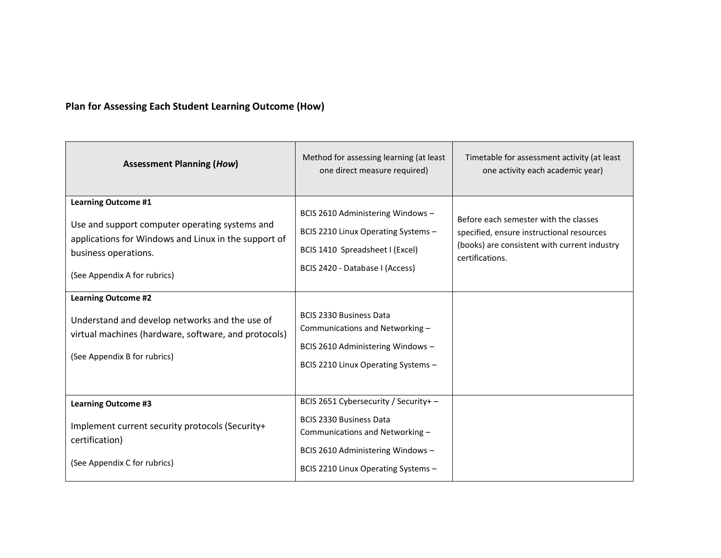## **Plan for Assessing Each Student Learning Outcome (How)**

| <b>Assessment Planning (How)</b>                                                                                                                                                             | Method for assessing learning (at least<br>one direct measure required)                                                                                                              | Timetable for assessment activity (at least<br>one activity each academic year)                                                                       |
|----------------------------------------------------------------------------------------------------------------------------------------------------------------------------------------------|--------------------------------------------------------------------------------------------------------------------------------------------------------------------------------------|-------------------------------------------------------------------------------------------------------------------------------------------------------|
| <b>Learning Outcome #1</b><br>Use and support computer operating systems and<br>applications for Windows and Linux in the support of<br>business operations.<br>(See Appendix A for rubrics) | BCIS 2610 Administering Windows -<br>BCIS 2210 Linux Operating Systems -<br>BCIS 1410 Spreadsheet I (Excel)<br>BCIS 2420 - Database I (Access)                                       | Before each semester with the classes<br>specified, ensure instructional resources<br>(books) are consistent with current industry<br>certifications. |
| <b>Learning Outcome #2</b><br>Understand and develop networks and the use of<br>virtual machines (hardware, software, and protocols)<br>(See Appendix B for rubrics)                         | <b>BCIS 2330 Business Data</b><br>Communications and Networking-<br>BCIS 2610 Administering Windows -<br>BCIS 2210 Linux Operating Systems -                                         |                                                                                                                                                       |
| <b>Learning Outcome #3</b><br>Implement current security protocols (Security+<br>certification)<br>(See Appendix C for rubrics)                                                              | BCIS 2651 Cybersecurity / Security+-<br><b>BCIS 2330 Business Data</b><br>Communications and Networking-<br>BCIS 2610 Administering Windows -<br>BCIS 2210 Linux Operating Systems - |                                                                                                                                                       |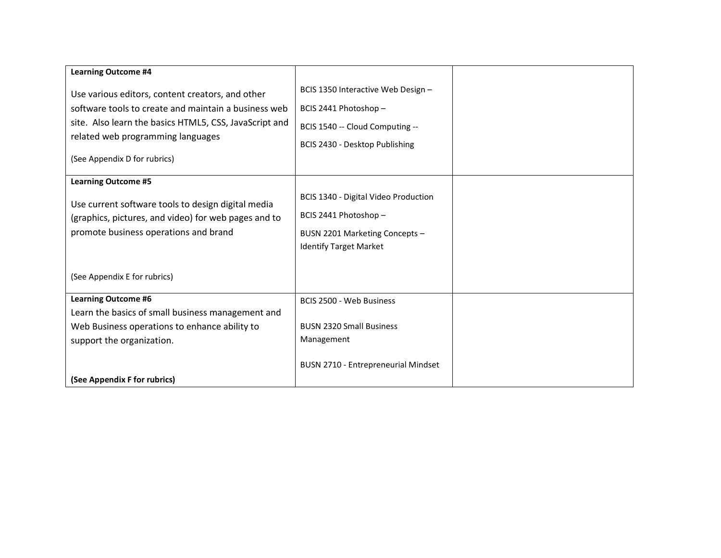| <b>Learning Outcome #4</b>                                                                                                                                                                                                              |                                                                                                                                  |  |
|-----------------------------------------------------------------------------------------------------------------------------------------------------------------------------------------------------------------------------------------|----------------------------------------------------------------------------------------------------------------------------------|--|
| Use various editors, content creators, and other<br>software tools to create and maintain a business web<br>site. Also learn the basics HTML5, CSS, JavaScript and<br>related web programming languages<br>(See Appendix D for rubrics) | BCIS 1350 Interactive Web Design -<br>BCIS 2441 Photoshop -<br>BCIS 1540 -- Cloud Computing --<br>BCIS 2430 - Desktop Publishing |  |
| <b>Learning Outcome #5</b>                                                                                                                                                                                                              |                                                                                                                                  |  |
| Use current software tools to design digital media<br>(graphics, pictures, and video) for web pages and to<br>promote business operations and brand<br>(See Appendix E for rubrics)                                                     | BCIS 1340 - Digital Video Production<br>BCIS 2441 Photoshop -<br>BUSN 2201 Marketing Concepts -<br><b>Identify Target Market</b> |  |
|                                                                                                                                                                                                                                         |                                                                                                                                  |  |
| <b>Learning Outcome #6</b><br>Learn the basics of small business management and<br>Web Business operations to enhance ability to<br>support the organization.                                                                           | <b>BCIS 2500 - Web Business</b><br><b>BUSN 2320 Small Business</b><br>Management                                                 |  |
| (See Appendix F for rubrics)                                                                                                                                                                                                            | BUSN 2710 - Entrepreneurial Mindset                                                                                              |  |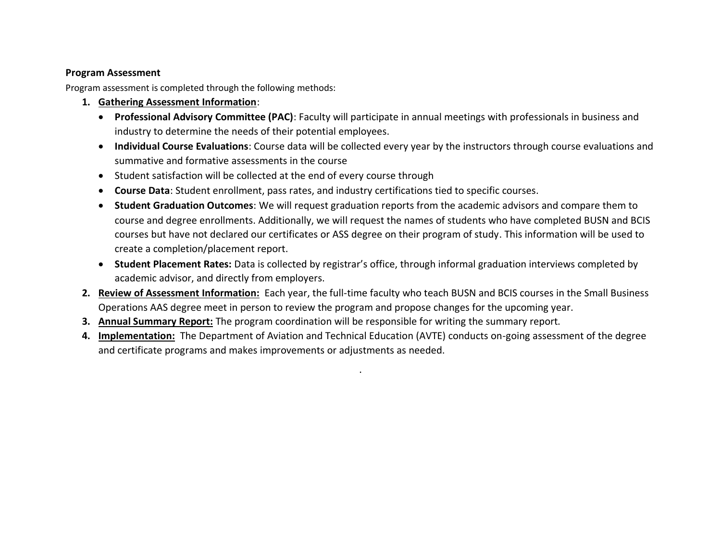### **Program Assessment**

Program assessment is completed through the following methods:

- **1. Gathering Assessment Information**:
	- **Professional Advisory Committee (PAC)**: Faculty will participate in annual meetings with professionals in business and industry to determine the needs of their potential employees.
	- **Individual Course Evaluations**: Course data will be collected every year by the instructors through course evaluations and summative and formative assessments in the course
	- Student satisfaction will be collected at the end of every course through
	- **Course Data**: Student enrollment, pass rates, and industry certifications tied to specific courses.
	- **Student Graduation Outcomes**: We will request graduation reports from the academic advisors and compare them to course and degree enrollments. Additionally, we will request the names of students who have completed BUSN and BCIS courses but have not declared our certificates or ASS degree on their program of study. This information will be used to create a completion/placement report.
	- **Student Placement Rates:** Data is collected by registrar's office, through informal graduation interviews completed by academic advisor, and directly from employers.
- **2. Review of Assessment Information:** Each year, the full-time faculty who teach BUSN and BCIS courses in the Small Business Operations AAS degree meet in person to review the program and propose changes for the upcoming year.
- **3. Annual Summary Report:** The program coordination will be responsible for writing the summary report.
- **4. Implementation:** The Department of Aviation and Technical Education (AVTE) conducts on-going assessment of the degree and certificate programs and makes improvements or adjustments as needed.

**.**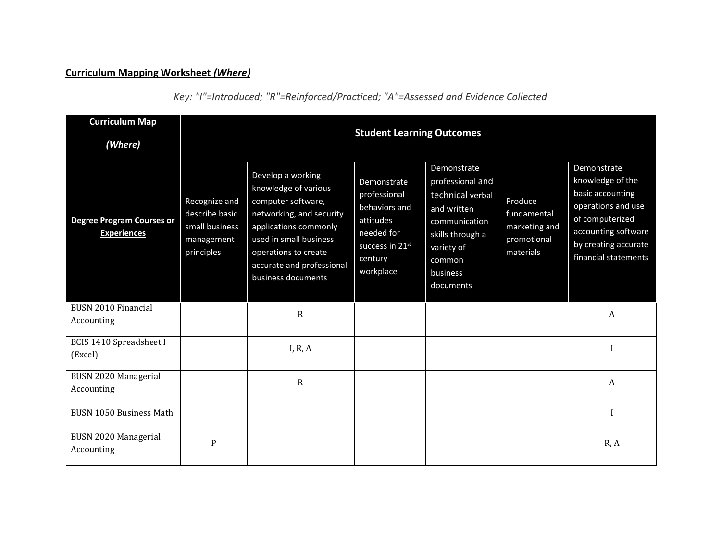## **Curriculum Mapping Worksheet** *(Where)*

| <b>Curriculum Map</b><br>(Where)                       | <b>Student Learning Outcomes</b>                                              |                                                                                                                                                                                                                           |                                                                                                                    |                                                                                                                                                          |                                                                     |                                                                                                                                                                     |
|--------------------------------------------------------|-------------------------------------------------------------------------------|---------------------------------------------------------------------------------------------------------------------------------------------------------------------------------------------------------------------------|--------------------------------------------------------------------------------------------------------------------|----------------------------------------------------------------------------------------------------------------------------------------------------------|---------------------------------------------------------------------|---------------------------------------------------------------------------------------------------------------------------------------------------------------------|
| <b>Degree Program Courses or</b><br><b>Experiences</b> | Recognize and<br>describe basic<br>small business<br>management<br>principles | Develop a working<br>knowledge of various<br>computer software,<br>networking, and security<br>applications commonly<br>used in small business<br>operations to create<br>accurate and professional<br>business documents | Demonstrate<br>professional<br>behaviors and<br>attitudes<br>needed for<br>success in 21st<br>century<br>workplace | Demonstrate<br>professional and<br>technical verbal<br>and written<br>communication<br>skills through a<br>variety of<br>common<br>business<br>documents | Produce<br>fundamental<br>marketing and<br>promotional<br>materials | Demonstrate<br>knowledge of the<br>basic accounting<br>operations and use<br>of computerized<br>accounting software<br>by creating accurate<br>financial statements |
| <b>BUSN 2010 Financial</b><br>Accounting               |                                                                               | $\mathbf R$                                                                                                                                                                                                               |                                                                                                                    |                                                                                                                                                          |                                                                     | A                                                                                                                                                                   |
| <b>BCIS 1410 Spreadsheet I</b><br>(Excel)              |                                                                               | I, R, A                                                                                                                                                                                                                   |                                                                                                                    |                                                                                                                                                          |                                                                     |                                                                                                                                                                     |
| BUSN 2020 Managerial<br>Accounting                     |                                                                               | $\mathbf R$                                                                                                                                                                                                               |                                                                                                                    |                                                                                                                                                          |                                                                     | A                                                                                                                                                                   |
| <b>BUSN 1050 Business Math</b>                         |                                                                               |                                                                                                                                                                                                                           |                                                                                                                    |                                                                                                                                                          |                                                                     |                                                                                                                                                                     |
| BUSN 2020 Managerial<br>Accounting                     | $\overline{P}$                                                                |                                                                                                                                                                                                                           |                                                                                                                    |                                                                                                                                                          |                                                                     | R, A                                                                                                                                                                |

*Key: "I"=Introduced; "R"=Reinforced/Practiced; "A"=Assessed and Evidence Collected*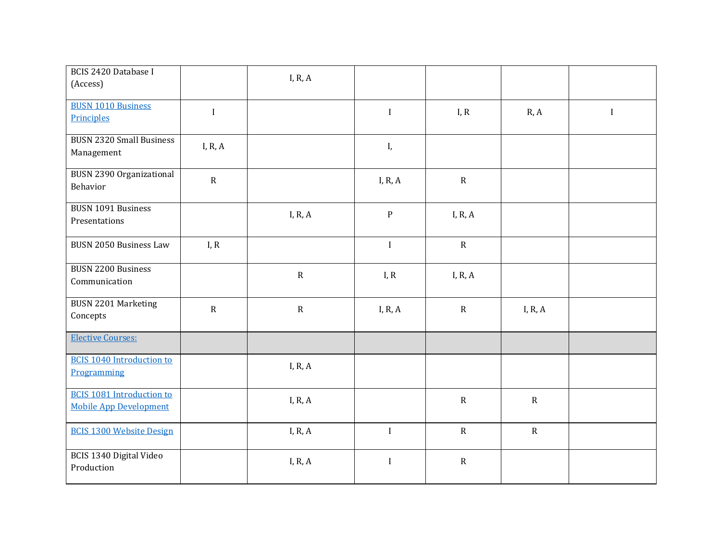| <b>BCIS 2420 Database I</b><br>(Access)                           |              | I, R, $A$ |              |             |           |             |
|-------------------------------------------------------------------|--------------|-----------|--------------|-------------|-----------|-------------|
| <b>BUSN 1010 Business</b><br>Principles                           | $\mathbf{I}$ |           | $\mathbf I$  | I, R        | R, A      | $\mathbf I$ |
| <b>BUSN 2320 Small Business</b><br>Management                     | I, R, $A$    |           | I,           |             |           |             |
| <b>BUSN 2390 Organizational</b><br>Behavior                       | $\mathbf R$  |           | I, R, $A$    | $\mathbf R$ |           |             |
| <b>BUSN 1091 Business</b><br>Presentations                        |              | I, R, $A$ | ${\bf P}$    | I, R, $A$   |           |             |
| <b>BUSN 2050 Business Law</b>                                     | I, R         |           | $\mathbf I$  | $\mathbf R$ |           |             |
| <b>BUSN 2200 Business</b><br>Communication                        |              | ${\bf R}$ | I, R         | I, R, $A$   |           |             |
| <b>BUSN 2201 Marketing</b><br>Concepts                            | ${\bf R}$    | ${\bf R}$ | I, R, $A$    | ${\bf R}$   | I, R, $A$ |             |
| <b>Elective Courses:</b>                                          |              |           |              |             |           |             |
| <b>BCIS 1040 Introduction to</b><br>Programming                   |              | I, R, $A$ |              |             |           |             |
| <b>BCIS 1081 Introduction to</b><br><b>Mobile App Development</b> |              | I, R, $A$ |              | ${\bf R}$   | ${\bf R}$ |             |
| <b>BCIS 1300 Website Design</b>                                   |              | I, R, $A$ | $\bf I$      | ${\bf R}$   | ${\bf R}$ |             |
| BCIS 1340 Digital Video<br>Production                             |              | I, R, A   | $\mathbf{I}$ | ${\bf R}$   |           |             |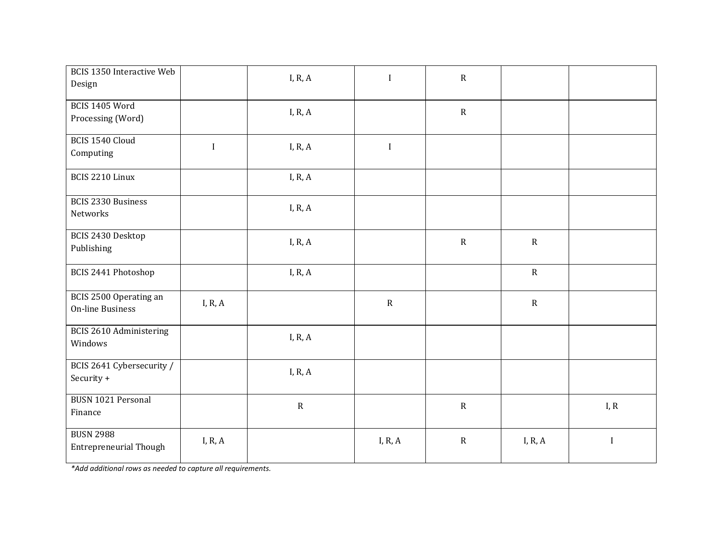| <b>BCIS 1350 Interactive Web</b><br>Design        |             | I, R, $A$ | $\mathbf I$ | ${\bf R}$   |             |              |
|---------------------------------------------------|-------------|-----------|-------------|-------------|-------------|--------------|
| BCIS 1405 Word<br>Processing (Word)               |             | I, R, $A$ |             | ${\sf R}$   |             |              |
| BCIS 1540 Cloud<br>Computing                      | $\mathbf I$ | I, R, $A$ | $\mathbf I$ |             |             |              |
| BCIS 2210 Linux                                   |             | I, R, $A$ |             |             |             |              |
| <b>BCIS 2330 Business</b><br>Networks             |             | I, R, $A$ |             |             |             |              |
| BCIS 2430 Desktop<br>Publishing                   |             | I, R, $A$ |             | $\mathbf R$ | $\mathbf R$ |              |
| BCIS 2441 Photoshop                               |             | I, R, $A$ |             |             | $\mathbf R$ |              |
| BCIS 2500 Operating an<br><b>On-line Business</b> | I, R, $A$   |           | $\mathbf R$ |             | $\mathbf R$ |              |
| BCIS 2610 Administering<br>Windows                |             | I, R, $A$ |             |             |             |              |
| BCIS 2641 Cybersecurity /<br>Security +           |             | I, R, $A$ |             |             |             |              |
| <b>BUSN 1021 Personal</b><br>Finance              |             | ${\bf R}$ |             | ${\sf R}$   |             | I, R         |
| <b>BUSN 2988</b><br><b>Entrepreneurial Though</b> | I, R, $A$   |           | I, R, $A$   | ${\bf R}$   | I, R, A     | $\mathbf{I}$ |

*\*Add additional rows as needed to capture all requirements.*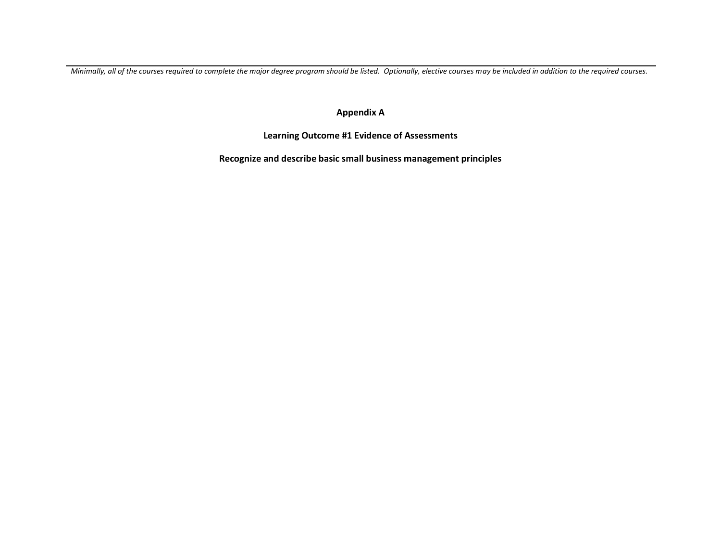*Minimally, all of the courses required to complete the major degree program should be listed. Optionally, elective courses may be included in addition to the required courses.* 

**Appendix A**

**Learning Outcome #1 Evidence of Assessments**

**Recognize and describe basic small business management principles**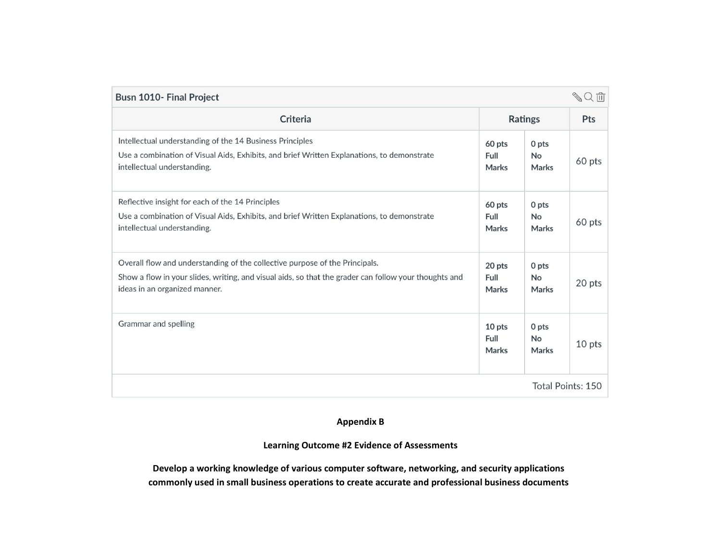| <b>SQ而</b><br>Busn 1010- Final Project                                                                                                                                                                                |                                |                             |                   |
|-----------------------------------------------------------------------------------------------------------------------------------------------------------------------------------------------------------------------|--------------------------------|-----------------------------|-------------------|
| Criteria                                                                                                                                                                                                              |                                | <b>Ratings</b>              | <b>Pts</b>        |
| Intellectual understanding of the 14 Business Principles<br>Use a combination of Visual Aids, Exhibits, and brief Written Explanations, to demonstrate<br>intellectual understanding.                                 | 60 pts<br>Full<br>Marks        | 0 pts<br>No<br>Marks        | 60 pts            |
| Reflective insight for each of the 14 Principles<br>Use a combination of Visual Aids, Exhibits, and brief Written Explanations, to demonstrate<br>intellectual understanding.                                         | 60 pts<br>Full<br><b>Marks</b> | 0 pts<br>No<br>Marks        | 60 pts            |
| Overall flow and understanding of the collective purpose of the Principals.<br>Show a flow in your slides, writing, and visual aids, so that the grader can follow your thoughts and<br>ideas in an organized manner. | 20 pts<br>Full<br>Marks        | 0 pts<br>No<br><b>Marks</b> | 20 pts            |
| Grammar and spelling                                                                                                                                                                                                  | 10 pts<br>Full<br>Marks        | 0 pts<br>No<br>Marks        | 10 pts            |
|                                                                                                                                                                                                                       |                                |                             | Total Points: 150 |

## **Appendix B**

#### **Learning Outcome #2 Evidence of Assessments**

**Develop a working knowledge of various computer software, networking, and security applications commonly used in small business operations to create accurate and professional business documents**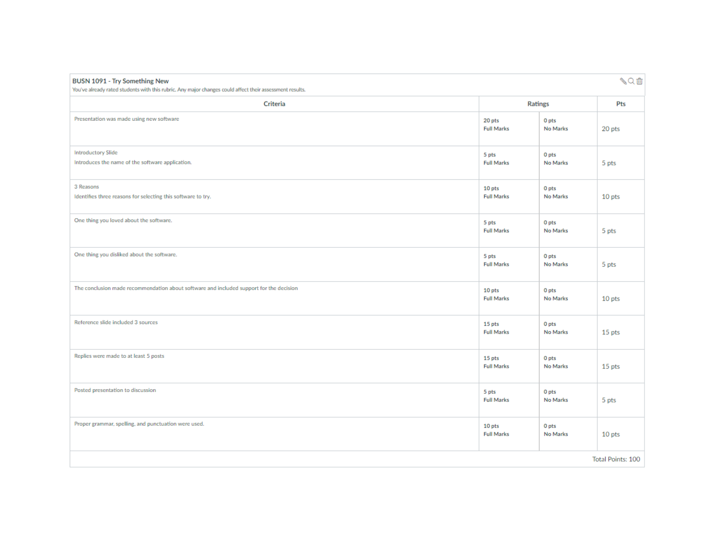| BUSN 1091 - Try Something New<br>You've already rated students with this rubric. Any major changes could affect their assessment results. |                             |                   | ≪Q面                      |
|-------------------------------------------------------------------------------------------------------------------------------------------|-----------------------------|-------------------|--------------------------|
| Criteria                                                                                                                                  |                             | <b>Ratings</b>    | Pts                      |
| Presentation was made using new software                                                                                                  | 20 pts<br><b>Full Marks</b> | 0 pts<br>No Marks | 20 pts                   |
| <b>Introductory Slide</b><br>Introduces the name of the software application.                                                             | 5 pts<br><b>Full Marks</b>  | 0 pts<br>No Marks | 5 pts                    |
| 3 Reasons<br>Identifies three reasons for selecting this software to try.                                                                 | 10 pts<br><b>Full Marks</b> | 0 pts<br>No Marks | 10 pts                   |
| One thing you loved about the software.                                                                                                   | 5 pts<br><b>Full Marks</b>  | 0 pts<br>No Marks | 5 pts                    |
| One thing you disliked about the software.                                                                                                | 5 pts<br><b>Full Marks</b>  | 0 pts<br>No Marks | 5 pts                    |
| The conclusion made recommendation about software and included support for the decision                                                   | 10 pts<br><b>Full Marks</b> | 0 pts<br>No Marks | 10 pts                   |
| Reference slide included 3 sources                                                                                                        | 15 pts<br><b>Full Marks</b> | 0 pts<br>No Marks | 15 pts                   |
| Replies were made to at least 5 posts                                                                                                     | 15 pts<br><b>Full Marks</b> | 0 pts<br>No Marks | 15 pts                   |
| Posted presentation to discussion                                                                                                         | 5 pts<br><b>Full Marks</b>  | 0 pts<br>No Marks | 5 pts                    |
| Proper grammar, spelling, and punctuation were used.                                                                                      | 10 pts<br><b>Full Marks</b> | 0 pts<br>No Marks | 10 pts                   |
|                                                                                                                                           |                             |                   | <b>Total Points: 100</b> |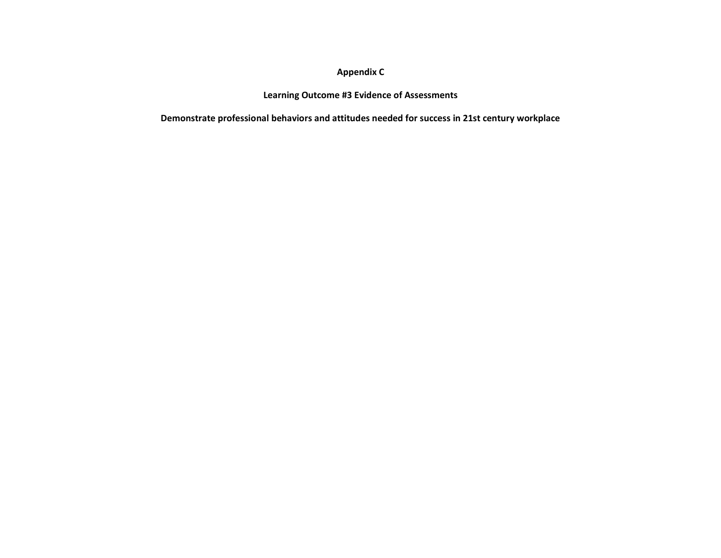## **Appendix C**

#### **Learning Outcome #3 Evidence of Assessments**

**Demonstrate professional behaviors and attitudes needed for success in 21st century workplace**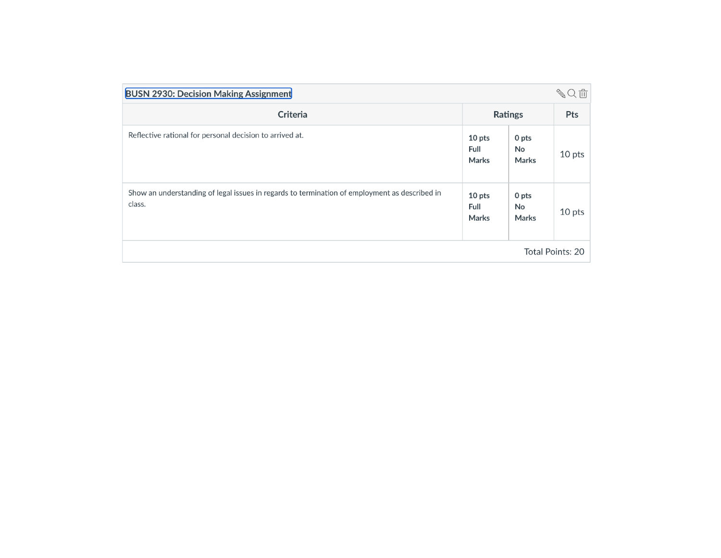| <b>BUSN 2930: Decision Making Assignment</b>                                                            |                                |                             | <b>SQ而</b> |
|---------------------------------------------------------------------------------------------------------|--------------------------------|-----------------------------|------------|
| Criteria                                                                                                | Ratings                        | Pts                         |            |
| Reflective rational for personal decision to arrived at.                                                | 10 pts<br><b>Full</b><br>Marks | 0 pts<br>No<br><b>Marks</b> | 10 pts     |
| Show an understanding of legal issues in regards to termination of employment as described in<br>class. | 10 pts<br>Full<br>Marks        | 0 pts<br>No<br><b>Marks</b> | 10 pts     |
| <b>Total Points: 20</b>                                                                                 |                                |                             |            |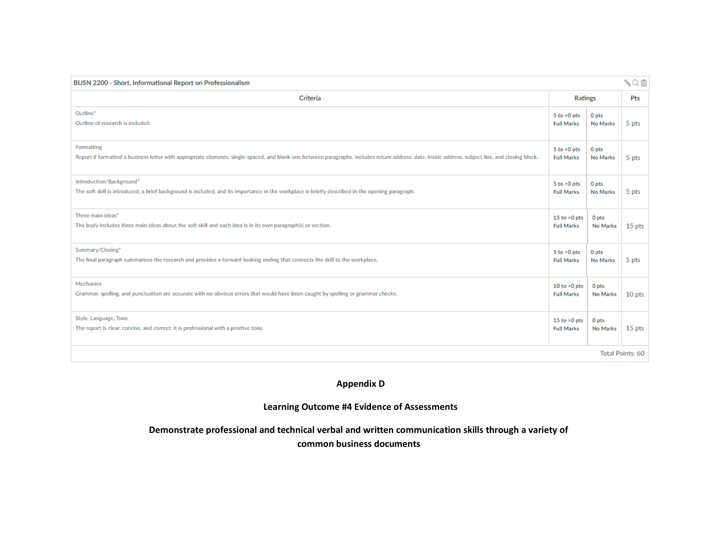| SQ面<br>BUSN 2200 - Short, Informational Report on Professionalism                                                                                                                                 |                   |                |          |  |
|---------------------------------------------------------------------------------------------------------------------------------------------------------------------------------------------------|-------------------|----------------|----------|--|
| Criteria                                                                                                                                                                                          |                   | <b>Ratings</b> |          |  |
| Outline*                                                                                                                                                                                          | $5$ to $>0$ pts   | 0 pts          | 5 pts    |  |
| Outline of research is included.                                                                                                                                                                  | <b>Full Marks</b> | No Marks       |          |  |
| Formatting                                                                                                                                                                                        | $5$ to $>0$ pts   | 0 pts          | 5 pts    |  |
| Report if formatted a business letter with appropriate elements, single-spaced, and blank one between paragraphs. Includes return address, date, inside address, subject line, and closing block. | <b>Full Marks</b> | No Marks       |          |  |
| Introduction/Background*                                                                                                                                                                          | $5$ to $>0$ pts   | 0 pts          | 5 pts    |  |
| The soft skill is introduced, a brief background is included, and its importance in the workplace is briefly described in the opening paragraph.                                                  | <b>Full Marks</b> | No Marks       |          |  |
| Three main ideas*                                                                                                                                                                                 | 15 to $>0$ pts    | 0 pts          | $15$ pts |  |
| The body includes three main ideas about the soft skill and each idea is in its own paragraph(s) or section.                                                                                      | <b>Full Marks</b> | No Marks       |          |  |
| Summary/Closing*                                                                                                                                                                                  | $5$ to $>0$ pts   | 0 pts          | 5 pts    |  |
| The final paragraph summarizes the research and provides a forward-looking ending that connects the skill to the workplace.                                                                       | <b>Full Marks</b> | No Marks       |          |  |
| Mechanics                                                                                                                                                                                         | 10 to $>0$ pts    | 0 pts          | $10$ pts |  |
| Grammar, spelling, and punctuation are accurate with no obvious errors that would have been caught by spelling or grammar checks.                                                                 | <b>Full Marks</b> | No Marks       |          |  |
| Style, Language, Tone                                                                                                                                                                             | 15 to $>0$ pts    | 0 pts          | $15$ pts |  |
| The report is clear, concise, and correct; it is professional with a positive tone.                                                                                                               | <b>Full Marks</b> | No Marks       |          |  |
| Total Points: 60                                                                                                                                                                                  |                   |                |          |  |

## **Appendix D**

## **Learning Outcome #4 Evidence of Assessments**

# **Demonstrate professional and technical verbal and written communication skills through a variety of**

**common business documents**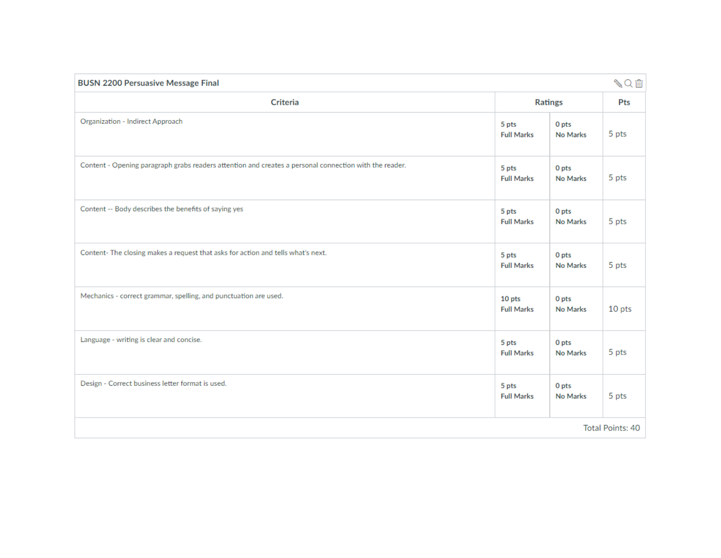| <b>BUSN 2200 Persuasive Message Final</b>                                                              |                             |                              | √Qm    |  |
|--------------------------------------------------------------------------------------------------------|-----------------------------|------------------------------|--------|--|
| <b>Criteria</b>                                                                                        |                             | <b>Ratings</b>               | Pts    |  |
| Organization - Indirect Approach                                                                       | 5 pts<br><b>Full Marks</b>  | 0 pts<br>No Marks            | 5 pts  |  |
| Content - Opening paragraph grabs readers attention and creates a personal connection with the reader. | 5 pts<br><b>Full Marks</b>  | 0 pts<br>No Marks            | 5 pts  |  |
| Content -- Body describes the benefits of saying yes                                                   | 5 pts<br><b>Full Marks</b>  | 0 pts<br>No Marks            | 5 pts  |  |
| Content-The closing makes a request that asks for action and tells what's next.                        | 5 pts<br><b>Full Marks</b>  | 0 pts<br>No Marks            | 5 pts  |  |
| Mechanics - correct grammar, spelling, and punctuation are used.                                       | 10 pts<br><b>Full Marks</b> | 0 pts<br>No Marks            | 10 pts |  |
| Language - writing is clear and concise.                                                               | 5 pts<br><b>Full Marks</b>  | 0 <sub>pts</sub><br>No Marks | 5 pts  |  |
| Design - Correct business letter format is used.                                                       | 5 pts<br><b>Full Marks</b>  | 0 pts<br>No Marks            | 5 pts  |  |
| Total Points: 40                                                                                       |                             |                              |        |  |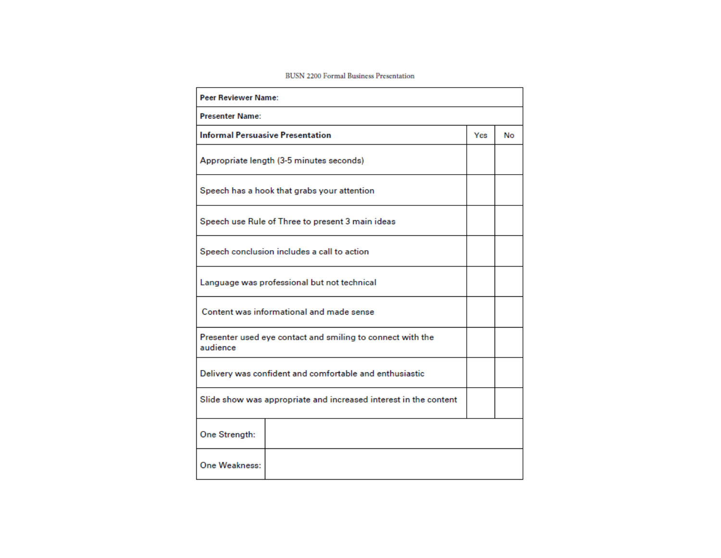#### **BUSN 2200 Formal Business Presentation**

| <b>Peer Reviewer Name:</b>                                             |     |    |
|------------------------------------------------------------------------|-----|----|
| <b>Presenter Name:</b>                                                 |     |    |
| <b>Informal Persuasive Presentation</b>                                | Yes | No |
| Appropriate length (3-5 minutes seconds)                               |     |    |
| Speech has a hook that grabs your attention                            |     |    |
| Speech use Rule of Three to present 3 main ideas                       |     |    |
| Speech conclusion includes a call to action                            |     |    |
| Language was professional but not technical                            |     |    |
| Content was informational and made sense                               |     |    |
| Presenter used eye contact and smiling to connect with the<br>audience |     |    |
| Delivery was confident and comfortable and enthusiastic                |     |    |
| Slide show was appropriate and increased interest in the content       |     |    |
| One Strength:                                                          |     |    |
| One Weakness:                                                          |     |    |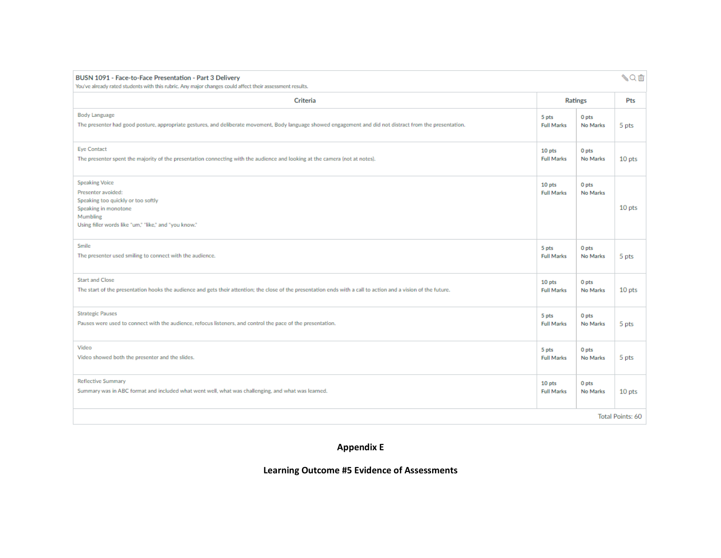| BUSN 1091 - Face-to-Face Presentation - Part 3 Delivery<br>You've already rated students with this rubric. Any major changes could affect their assessment results.            |                             |                   | √Qm    |  |
|--------------------------------------------------------------------------------------------------------------------------------------------------------------------------------|-----------------------------|-------------------|--------|--|
| Criteria                                                                                                                                                                       |                             | <b>Ratings</b>    | Pts    |  |
| <b>Body Language</b>                                                                                                                                                           | 5 pts                       | 0 pts             | 5 pts  |  |
| The presenter had good posture, appropriate gestures, and deliberate movement, Body language showed engagement and did not distract from the presentation.                     | <b>Full Marks</b>           | No Marks          |        |  |
| <b>Eye Contact</b>                                                                                                                                                             | 10 pts                      | 0 pts             | 10 pts |  |
| The presenter spent the majority of the presentation connecting with the audience and looking at the camera (not at notes).                                                    | <b>Full Marks</b>           | No Marks          |        |  |
| <b>Speaking Voice</b><br>Presenter avoided:<br>Speaking too quickly or too softly<br>Speaking in monotone<br>Mumbling<br>Using filler words like "um," "like," and "you know." | 10 pts<br><b>Full Marks</b> | 0 pts<br>No Marks | 10 pts |  |
| Smile                                                                                                                                                                          | 5 pts                       | 0 pts             | 5 pts  |  |
| The presenter used smiling to connect with the audience.                                                                                                                       | <b>Full Marks</b>           | No Marks          |        |  |
| <b>Start and Close</b>                                                                                                                                                         | 10 pts                      | 0 pts             | 10 pts |  |
| The start of the presentation hooks the audience and gets their attention; the close of the presentation ends with a call to action and a vision of the future.                | <b>Full Marks</b>           | No Marks          |        |  |
| <b>Strategic Pauses</b>                                                                                                                                                        | 5 pts                       | 0 pts             | 5 pts  |  |
| Pauses were used to connect with the audience, refocus listeners, and control the pace of the presentation.                                                                    | <b>Full Marks</b>           | No Marks          |        |  |
| Video                                                                                                                                                                          | 5 pts                       | 0 pts             | 5 pts  |  |
| Video showed both the presenter and the slides.                                                                                                                                | <b>Full Marks</b>           | No Marks          |        |  |
| <b>Reflective Summary</b>                                                                                                                                                      | 10 pts                      | 0 pts             | 10 pts |  |
| Summary was in ABC format and included what went well, what was challenging, and what was learned.                                                                             | <b>Full Marks</b>           | No Marks          |        |  |
| Total Points: 60                                                                                                                                                               |                             |                   |        |  |

**Appendix E**

## **Learning Outcome #5 Evidence of Assessments**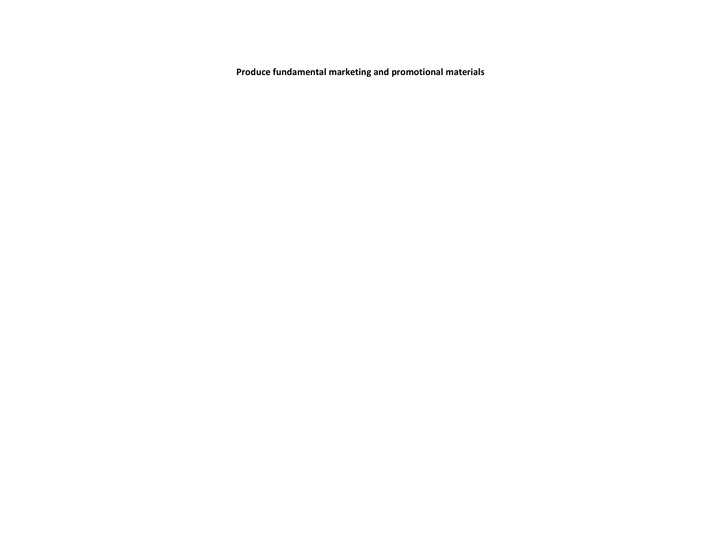**Produce fundamental marketing and promotional materials**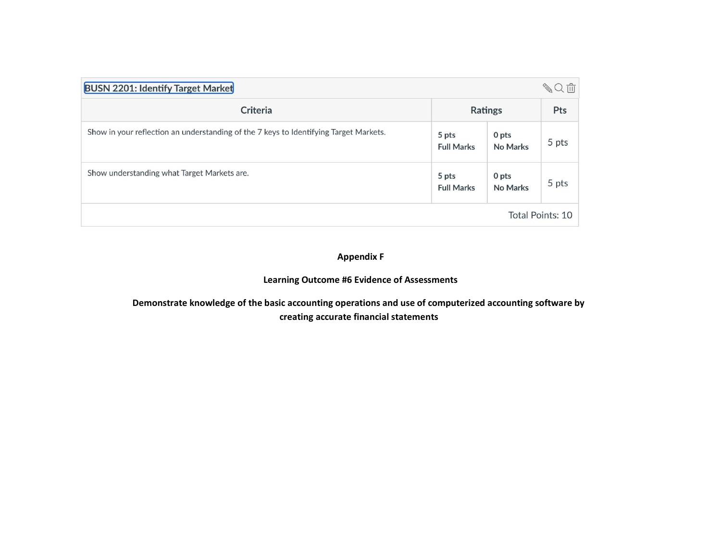| SQ血<br><b>BUSN 2201: Identify Target Market</b>                                       |                            |                   |                  |  |  |  |  |
|---------------------------------------------------------------------------------------|----------------------------|-------------------|------------------|--|--|--|--|
| Criteria                                                                              | <b>Ratings</b>             | Pts               |                  |  |  |  |  |
| Show in your reflection an understanding of the 7 keys to Identifying Target Markets. | 5 pts<br><b>Full Marks</b> | 0 pts<br>No Marks | 5 pts            |  |  |  |  |
| Show understanding what Target Markets are.                                           | 5 pts<br><b>Full Marks</b> | 0 pts<br>No Marks | 5 pts            |  |  |  |  |
|                                                                                       |                            |                   | Total Points: 10 |  |  |  |  |

#### **Appendix F**

#### **Learning Outcome #6 Evidence of Assessments**

**Demonstrate knowledge of the basic accounting operations and use of computerized accounting software by creating accurate financial statements**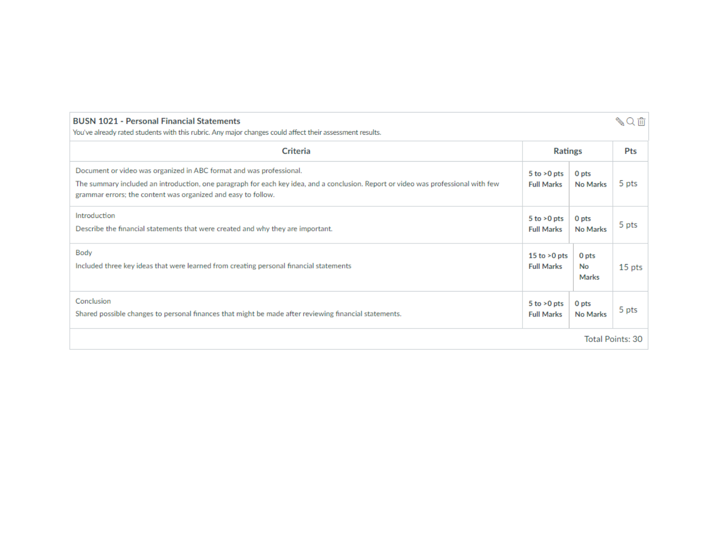| <b>BUSN 1021 - Personal Financial Statements</b><br>$\mathbb{Z}$<br>You've already rated students with this rubric. Any major changes could affect their assessment results.                                                                                               |                                      |                              |                  |  |  |
|----------------------------------------------------------------------------------------------------------------------------------------------------------------------------------------------------------------------------------------------------------------------------|--------------------------------------|------------------------------|------------------|--|--|
| Criteria                                                                                                                                                                                                                                                                   | <b>Ratings</b>                       |                              | Pts              |  |  |
| Document or video was organized in ABC format and was professional.<br>The summary included an introduction, one paragraph for each key idea, and a conclusion. Report or video was professional with few<br>grammar errors; the content was organized and easy to follow. | $5$ to $>0$ pts<br><b>Full Marks</b> | 0 <sub>pts</sub><br>No Marks | 5 pts            |  |  |
| Introduction<br>Describe the financial statements that were created and why they are important.                                                                                                                                                                            | $5$ to $>0$ pts<br><b>Full Marks</b> | 0 pts<br>No Marks            | 5 pts            |  |  |
| Body<br>Included three key ideas that were learned from creating personal financial statements                                                                                                                                                                             | 15 to $>0$ pts<br><b>Full Marks</b>  | 0 pts<br>No<br><b>Marks</b>  | 15 pts           |  |  |
| Conclusion<br>Shared possible changes to personal finances that might be made after reviewing financial statements.                                                                                                                                                        | $5$ to $>0$ pts<br><b>Full Marks</b> | 0 pts<br>No Marks            | 5 pts            |  |  |
|                                                                                                                                                                                                                                                                            |                                      |                              | Total Points: 30 |  |  |